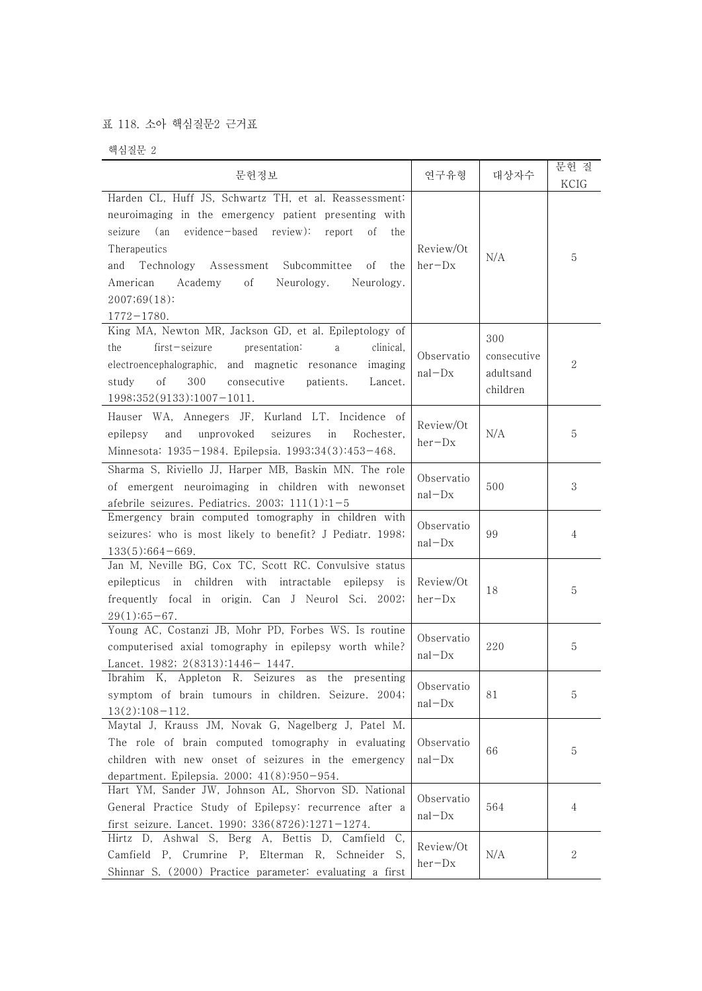## 표 118. 소아 핵심질문2 근거표

핵심질문 2

| 문헌정보                                                                                                                                                                                                                                                                                                                                                    | 연구유형                     | 대상자수                                        | 문헌 질<br>KCIG |
|---------------------------------------------------------------------------------------------------------------------------------------------------------------------------------------------------------------------------------------------------------------------------------------------------------------------------------------------------------|--------------------------|---------------------------------------------|--------------|
| Harden CL, Huff JS, Schwartz TH, et al. Reassessment:<br>neuroimaging in the emergency patient presenting with<br>evidence-based review): report<br>seizure<br>(an<br>of<br>the<br>Therapeutics<br>Technology<br>Assessment Subcommittee<br>οf<br>the<br>and<br>American<br>Academy<br>οf<br>Neurology.<br>Neurology.<br>2007;69(18):<br>$1772 - 1780.$ | Review/Ot<br>$her-Dx$    | N/A                                         | 5            |
| King MA, Newton MR, Jackson GD, et al. Epileptology of<br>$first - seizure$<br>the<br>presentation:<br>clinical,<br>a<br>electroencephalographic, and magnetic resonance<br>imaging<br>300<br>οf<br>consecutive<br>patients.<br>study<br>Lancet.<br>$1998;352(9133):1007-1011.$                                                                         | Observatio<br>$nal - Dx$ | 300<br>consecutive<br>adultsand<br>children | $\mathbf{2}$ |
| Hauser WA, Annegers JF, Kurland LT. Incidence of<br>seizures<br>epilepsy<br>and<br>unprovoked<br>in<br>Rochester.<br>Minnesota: 1935-1984. Epilepsia. 1993;34(3):453-468.                                                                                                                                                                               | Review/Ot<br>$her-Dx$    | N/A                                         | 5            |
| Sharma S, Riviello JJ, Harper MB, Baskin MN. The role<br>of emergent neuroimaging in children with newonset<br>afebrile seizures. Pediatrics. 2003; $111(1):1-5$                                                                                                                                                                                        | Observatio<br>$nal - Dx$ | 500                                         | 3            |
| Emergency brain computed tomography in children with<br>seizures: who is most likely to benefit? J Pediatr. 1998;<br>$133(5):664-669.$                                                                                                                                                                                                                  | Observatio<br>$nal - Dx$ | 99                                          | 4            |
| Jan M, Neville BG, Cox TC, Scott RC. Convulsive status<br>epilepticus in children with intractable epilepsy is<br>frequently focal in origin. Can J Neurol Sci. 2002;<br>$29(1):65-67.$                                                                                                                                                                 | Review/Ot<br>$her-Dx$    | 18                                          | 5            |
| Young AC, Costanzi JB, Mohr PD, Forbes WS. Is routine<br>computerised axial tomography in epilepsy worth while?<br>Lancet. 1982; 2(8313):1446-1447.                                                                                                                                                                                                     | Observatio<br>$nal - Dx$ | 220                                         | 5            |
| Ibrahim K, Appleton R. Seizures as the presenting<br>symptom of brain tumours in children. Seizure. 2004;<br>$13(2):108-112.$                                                                                                                                                                                                                           | Observatio<br>$nal - Dx$ | 81                                          | 5            |
| Maytal J, Krauss JM, Novak G, Nagelberg J, Patel M.<br>The role of brain computed tomography in evaluating<br>children with new onset of seizures in the emergency<br>department. Epilepsia. 2000; 41(8):950-954.                                                                                                                                       | Observatio<br>$nal - Dx$ | 66                                          | 5            |
| Hart YM, Sander JW, Johnson AL, Shorvon SD. National<br>General Practice Study of Epilepsy: recurrence after a<br>first seizure. Lancet. 1990; 336(8726):1271-1274.                                                                                                                                                                                     | Observatio<br>$nal - Dx$ | 564                                         | 4            |
| Hirtz D, Ashwal S, Berg A, Bettis D, Camfield C,<br>Camfield P, Crumrine P, Elterman R, Schneider S,<br>Shinnar S. (2000) Practice parameter: evaluating a first                                                                                                                                                                                        | Review/Ot<br>$her-Dx$    | N/A                                         | 2            |